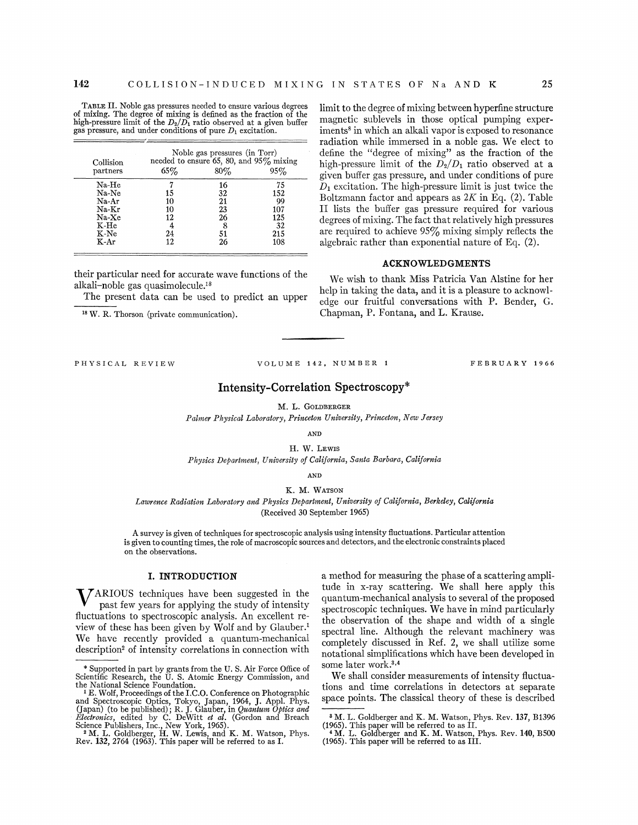TABLE II. Noble gas pressures needed to ensure various degrees of mixing. The degree of mixing is defined as the fraction of the high-pressure limit of the  $D_2/D_1$  ratio observed at a given buffer gas pressure, and under conditions of pure  $D_1$  excitation.

| Collision<br>partners | Noble gas pressures (in Torr)<br>needed to ensure 65, 80, and $95\%$ mixing |     |     |
|-----------------------|-----------------------------------------------------------------------------|-----|-----|
|                       | 65%                                                                         | 80% | 95% |
| Na-He                 |                                                                             | 16  | 75  |
| Na-Ne                 | 15                                                                          | 32  | 152 |
| Na-Ar                 | 10                                                                          | 21  | 99  |
| Na-Kr                 | 10                                                                          | 23  | 107 |
| Na-Xe                 | 12                                                                          | 26  | 125 |
| K-He                  |                                                                             | 8   | 32  |
| K-Ne                  | 24                                                                          | 51  | 215 |
| K-Ar                  | 12                                                                          | 26  | 108 |

their particular need for accurate wave functions of the alkali-noble gas quasimolecule.<sup>18</sup>

The present data can be used to predict an upper

18 W. R. Thorson (private communication).

PHYSICAL REVIEW VOLUME 142, NUMBER 1 FEBRUARY 1966

# Intensity-Correlation Spectroscopy\*

M. L. GoLDBERGER

*Palmer Physical Laboratory, Princeton University, Princeton, New Jersey* 

AND

H. w. LEWIS *Physics Department, University of California, Santa Barbara, California* 

AND

#### K. M. WATSON

*Lawrence Radiation Laboratory and Physics Department, University of California, Berkeley, California*  (Received 30 September 1965)

A survey is given of techniques for spectroscopic analysis using intensity fluctuations. Particular attention is given to counting times, the role of macroscopic sources and detectors, and the electronic constraints placed on the observations.

### I. INTRODUCTION

V ARIOUS techniques have been suggested in the past few years for applying the study of intensity fluctuations to spectroscopic analysis. An excellent review of these has been given by Wolf and by Glauber.1 We have recently provided a quantum-mechanical description<sup>2</sup> of intensity correlations in connection with a method for measuring the phase of a scattering amplitude in x-ray scattering. We shall here apply this quantum-mechanical analysis to several of the proposed spectroscopic techniques. We have in mind particularly the observation of the shape and width of a single spectral line. Although the relevant machinery was completely discussed in Ref. 2, we shall utilize some notational simplifications which have been developed in some later work.3•4

limit to the degree of mixing between hyperfine structure magnetic sublevels in those optical pumping experiments<sup>8</sup> in which an alkali vapor is exposed to resonance radiation while immersed in a noble gas. We elect to define the "degree of mixing" as the fraction of the high-pressure limit of the *D2/D1* ratio observed at a given buffer gas pressure, and under conditions of pure  $D_1$  excitation. The high-pressure limit is just twice the Boltzmann factor and appears as *2K* in Eq. (2). Table II lists the buffer gas pressure required for various degrees of mixing. The fact that relatively high pressures are required to achieve  $95\%$  mixing simply reflects the algebraic rather than exponential nature of Eq. (2).

ACKNOWLEDGMENTS We wish to thank Miss Patricia Van Alstine for her help in taking the data, and it is a pleasure to acknowledge our fruitful conversations with P. Bender, G.

Chapman, P. Fontana, and L. Krause.

We shall consider measurements of intensity fluctuations and time correlations in detectors at separate space points. The classical theory of these is described

<sup>\*</sup>Supported in part by grants from the U.S. Air Force Office of Scientific Research, the U. S. Atomic Energy Commission, and the National Science Foundation. 1 E. Wolf, Proceedings of. the I.C.O. Conference on Photographic

and Spectroscopic Optics, Tokyo, Japan, 1964, J. Appl. Phys. (Japan) (to be published); R. J. Glauber, in *Quantum Optics and Electronics*, edited by C. DeWitt *et al.* (Gordon and Breach Science Publishers, Inc., New Yor

<sup>&</sup>lt;sup>8</sup> M. L. Goldberger and K. M. Watson, Phys. Rev. 137, B1396

<sup>( 1965).</sup> This paper will be referred to as II. 4 M. L. Goldberger and K. M. Watson, Phys. Rev. 140, BSOO (1965). This paper will be referred to as III.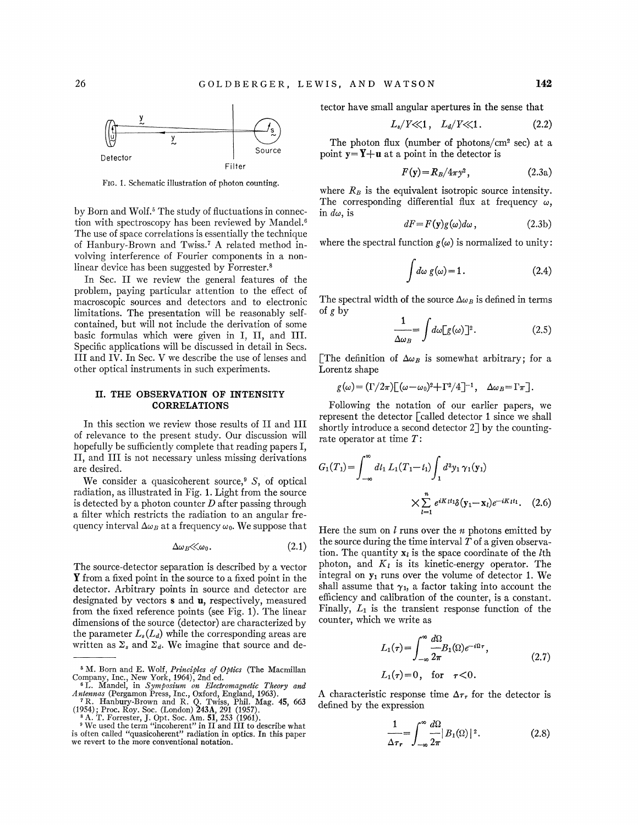

FIG. 1. Schematic illustration of photon counting.

by Born and Wolf.<sup>5</sup> The study of fluctuations in connection with spectroscopy has been reviewed by Mandel.<sup>6</sup> The use of space correlations is essentially the technique of Hanbury-Brown and Twiss. 7 A related method involving interference of Fourier components in a nonlinear device has been suggested by Forrester.<sup>8</sup>

In Sec. II we review the general features of the problem, paying particular attention to the effect of macroscopic sources and detectors and to electronic limitations. The presentation will be reasonably selfcontained, but will not include the derivation of some basic formulas which were given in I, II, and III. Specific applications will be discussed in detail in Secs. III and IV. In Sec. V we describe the use of lenses and other optical instruments in such experiments.

# **II. THE OBSERVATION OF INTENSITY CORRELATIONS**

In this section we review those results of II and III of relevance to the present study. Our discussion will hopefully be sufficiently complete that reading papers I, II, and III is not necessary unless missing derivations are desired.

We consider a quasicoherent source,<sup>9</sup> S, of optical radiation, as illustrated in Fig. 1. Light from the source is detected by a photon counter  $D$  after passing through a filter which restricts the radiation to an angular frequency interval  $\Delta \omega_B$  at a frequency  $\omega_0$ . We suppose that

$$
\Delta \omega_B \ll \omega_0. \tag{2.1}
$$

The source-detector separation is described by a vector **Y** from a fixed point in the source to a fixed point in the detector. Arbitrary points in source and detector are designated by vectors s and **u,** respectively, measured from the fixed reference points (see Fig. 1). The linear dimensions of the source (detector) are characterized by the parameter  $L_s(L_d)$  while the corresponding areas are written as  $\Sigma_s$  and  $\Sigma_d$ . We imagine that source and detector have small angular apertures in the sense that

$$
L_s/Y \ll 1, \quad L_d/Y \ll 1. \tag{2.2}
$$

The photon flux (number of photons/cm2 sec) at a point  $y = Y + u$  at a point in the detector is

$$
F(\mathbf{y}) = R_B / 4\pi y^2, \qquad (2.3a)
$$

where  $R_B$  is the equivalent isotropic source intensity. The corresponding differential flux at frequency  $\omega$ , in  $d\omega$ , is

$$
dF = F(\mathbf{y})g(\omega)d\omega, \qquad (2.3b)
$$

where the spectral function  $g(\omega)$  is normalized to unity:

$$
\int d\omega \ g(\omega) = 1. \tag{2.4}
$$

The spectral width of the source  $\Delta \omega_B$  is defined in terms of *g* by

$$
\frac{1}{\Delta \omega_B} = \int d\omega [g(\omega)]^2.
$$
 (2.5)

[The definition of  $\Delta \omega_B$  is somewhat arbitrary; for a Lorentz shape

 $g(\omega) = (\Gamma/2\pi)[(\omega-\omega_0)^2 + \Gamma^2/4]^{-1}, \quad \Delta\omega_B = \Gamma\pi].$ 

Following the notation of our earlier papers, we represent the detector [called detector 1 since we shall shortly introduce a second detector 2] by the countingrate operator at time  $T$ :

$$
G_1(T_1) = \int_{-\infty}^{\infty} dt_1 L_1(T_1 - t_1) \int_1 d^3 y_1 \gamma_1(y_1)
$$

$$
\times \sum_{l=1}^n e^{iK_l t_1} \delta(y_1 - x_l) e^{-iK_l t_1}. \quad (2.6)
$$

Here the sum on *l* runs over the *n* photons emitted by the source during the time interval  $T$  of a given observation. The quantity  $x_i$  is the space coordinate of the *l*th photon, and  $K_l$  is its kinetic-energy operator. The integral on  $y_1$  runs over the volume of detector 1. We shall assume that  $\gamma_1$ , a factor taking into account the efficiency and calibration of the counter, is a constant. Finally,  $L_1$  is the transient response function of the counter, which we write as

$$
L_1(\tau) = \int_{-\infty}^{\infty} \frac{d\Omega}{2\pi} B_1(\Omega) e^{-i\Omega \tau},
$$
  
\n
$$
L_1(\tau) = 0, \text{ for } \tau < 0.
$$
\n(2.7)

A characteristic response time  $\Delta \tau_r$  for the detector is defined by the expression

$$
\frac{1}{\Delta \tau_r} = \int_{-\infty}^{\infty} \frac{d\Omega}{2\pi} |B_1(\Omega)|^2.
$$
 (2.8)

<sup>&</sup>lt;sup>5</sup> M. Born and E. Wolf, *Principles of Optics* (The Macmillan Company, Inc., New York, 1964), 2nd ed. <sup>6</sup>L. Mandel, in *Symposium on Electromagnetic Theory and* 

*Antennas (Pergamon Press, Inc., Oxford, England, 1963).* 7 R. Hanbury-Brown and R. Q. Twiss, Phil. Mag. 45, 663 (1954); Proc. Roy. Soc. (London) 243A, 291 (1957).

<sup>&</sup>lt;sup>8</sup> A. T. Forrester, J. Opt. Soc. Am. **51**, 253 (1961). 9 We used the term "incoherent" in II and III to describe what is often called "quasicoherent" radiation in optics. In this paper we revert to the more conventional notation.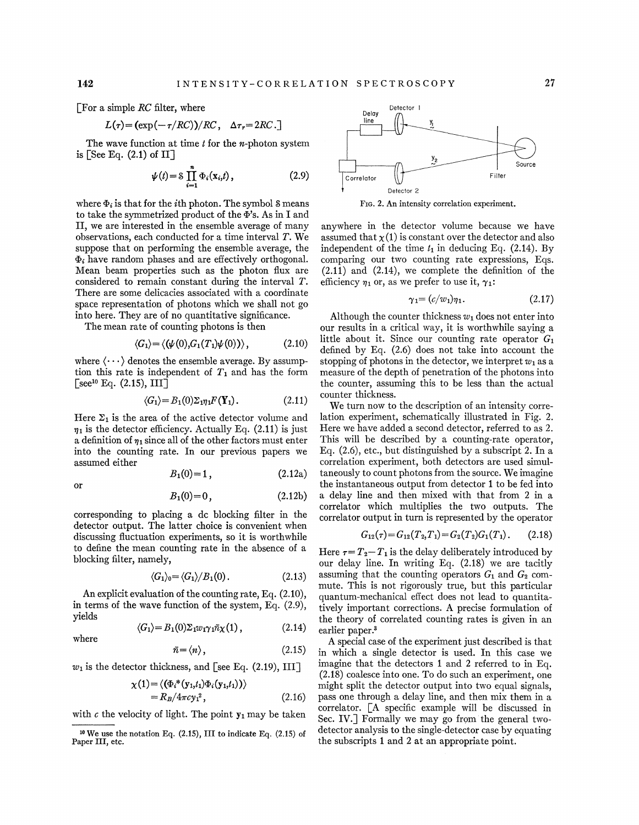or

where

[For a simple *RC* filter, where

$$
L(\tau) = (\exp(-\tau/RC))/RC, \quad \Delta \tau_r = 2RC.
$$

The wave function at time *t* for the *n*-photon system is [See Eq. (2.1) of II]

$$
\psi(t) = \mathcal{S} \prod_{i=1}^{n} \Phi_i(\mathbf{x}_i, t), \qquad (2.9)
$$

where  $\Phi_i$  is that for the *i*th photon. The symbol S means to take the symmetrized product of the  $\Phi$ 's. As in I and II, we are interested in the ensemble average of many observations, each conducted for a time interval T. We suppose that on performing the ensemble average, the  $\Phi_i$  have random phases and are effectively orthogonal. Mean beam properties such as the photon flux are considered to remain constant during the interval T. There are some delicacies associated with a coordinate space representation of photons which we shall not go into here. They are of no quantitative significance.

The mean rate of counting photons is then

$$
\langle G_1 \rangle = \langle (\psi(0), G_1(T_1)\psi(0)) \rangle, \qquad (2.10)
$$

where  $\langle \cdots \rangle$  denotes the ensemble average. By assumption this rate is independent of  $T_1$  and has the form  $[see<sup>10</sup> Eq. (2.15), III]$ 

$$
\langle G_1 \rangle = B_1(0) \Sigma_{1} \eta_1 F(\mathbf{Y}_1). \tag{2.11}
$$

Here  $\Sigma_1$  is the area of the active detector volume and  $\eta_1$  is the detector efficiency. Actually Eq. (2.11) is just a definition of  $\eta_1$  since all of the other factors must enter into the counting rate. In our previous papers we assumed either

$$
B_1(0)=1\,,\t(2.12a)
$$

$$
B_1(0) = 0, \t(2.12b)
$$

corresponding to placing a de blocking filter in the detector output. The latter choice is convenient when discussing fluctuation experiments, so it is worthwhile to define the mean counting rate in the absence of a blocking filter, namely,

$$
\langle G_1 \rangle_0 = \langle G_1 \rangle / B_1(0). \qquad (2.13)
$$

An explicit evaluation of the counting rate, Eq. (2.10), in terms of the wave function of the system, Eq. (2.9), yields

$$
\langle G_1 \rangle = B_1(0) \Sigma_1 w_1 \gamma_1 \bar{n} \chi(1) , \qquad (2.14)
$$

$$
\bar{n} = \langle n \rangle, \tag{2.15}
$$

 $w_1$  is the detector thickness, and [see Eq. (2.19), III]

$$
\chi(1) = \langle (\Phi_i^*(y_{1,t_1})\Phi_i(y_{1,t_1})) \rangle
$$
  
=  $R_B/4\pi c y_1^2$ , (2.16)

with  $c$  the velocity of light. The point  $y_1$  may be taken



FIG. 2. An intensity correlation experiment.

anywhere in the detector volume because we have assumed that  $\chi(1)$  is constant over the detector and also independent of the time  $t_1$  in deducing Eq. (2.14). By comparing our two counting rate expressions, Eqs. (2.11) and (2.14), we complete the definition of the efficiency  $\eta_1$  or, as we prefer to use it,  $\gamma_1$ :

$$
\gamma_1 = (c/w_1)\eta_1. \tag{2.17}
$$

Although the counter thickness  $w_1$  does not enter into our results in a critical way, it is worthwhile saying a little about it. Since our counting rate operator  $G_1$ defined by Eq. (2.6) does not take into account the stopping of photons in the detector, we interpret  $w_1$  as a measure of the depth of penetration of the photons into the counter, assuming this to be less than the actual counter thickness.

We turn now to the description of an intensity correlation experiment, schematically illustrated in Fig. 2. Here we have added a second detector, referred to as 2. This will be described by a counting-rate operator, Eq. (2.6), etc., but distinguished by a subscript 2. In a correlation experiment, both detectors are used simultaneously to count photons from the source. We imagine the instantaneous output from detector **1** to be fed into a delay line and then mixed with that from 2 in a correlator which multiplies the two outputs. The correlator output in turn is represented by the operator

$$
G_{12}(\tau) = G_{12}(T_2, T_1) = G_2(T_2)G_1(T_1). \tag{2.18}
$$

Here  $\tau = T_2 - T_1$  is the delay deliberately introduced by our delay line. In writing Eq. (2.18) we are tacitly assuming that the counting operators  $G_1$  and  $G_2$  commute. This is not rigorously true, but this particular quantum-mechanical effect does not lead to quantitatively important corrections. A precise formulation of the theory of correlated counting rates is given in an earlier paper.<sup>3</sup>

A special case of the experiment just described is that in which a single detector is used. In this case we imagine that the detectors 1 and 2 referred to in Eq. (2.18) coalesce into one. To do such an experiment, one might split the detector output into two equal signals, pass one through a delay line, and then mix them in a correlator. [A specific example will be discussed in Sec. IV.] Formally we may go from the general twodetector analysis to the single-detector case by equating the subscripts 1 and 2 at an appropriate point.

 $10$  We use the notation Eq. (2.15), III to indicate Eq. (2.15) of Paper III, etc.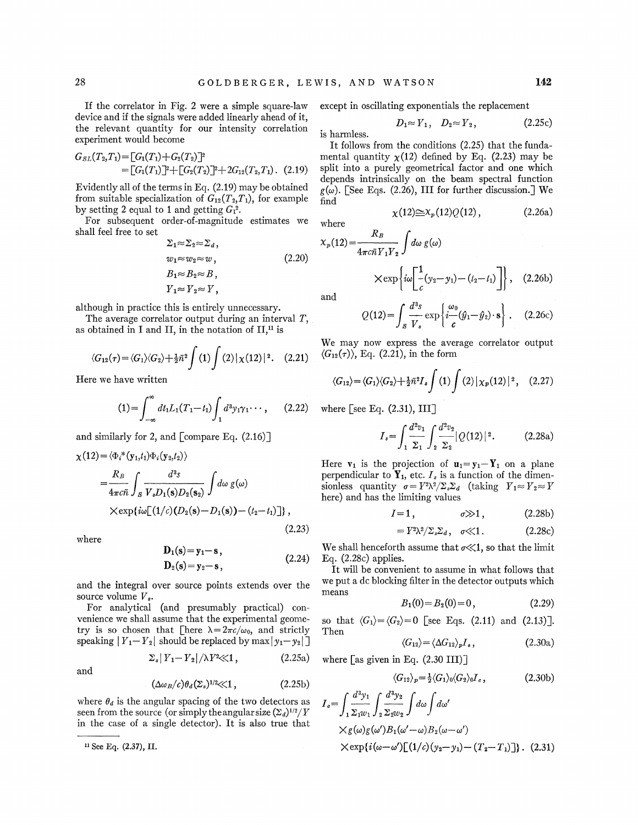If the correlator in Fig. 2 were a simple square-law device and if the signals were added linearly ahead of it, the relevant quantity for our intensity correlation experiment would become

$$
G_{SL}(T_2,T_1) = [G_1(T_1) + G_2(T_2)]^2
$$
  
=  $[G_1(T_1)]^2 + [G_2(T_2)]^2 + 2G_{12}(T_2,T_1).$  (2.19)

Evidently all of the terms in Eq. (2.19) may be obtained from suitable specialization of  $G_{12}(T_2,T_1)$ , for example by setting 2 equal to 1 and getting  $G_1^2$ .

For subsequent order-of-magnitude estimates we shall feel free to set

$$
\Sigma_1 \approx \Sigma_2 \approx \Sigma_d, \nw_1 \approx w_2 \approx w, \nB_1 \approx B_2 \approx B, \nY_1 \approx Y_2 \approx Y,
$$
\n(2.20)

although in practice this is entirely unnecessary.

The average correlator output during an interval T, as obtained in I and II, in the notation of  $II,$ <sup>11</sup> is

$$
\langle G_{12}(\tau) = \langle G_1 \rangle \langle G_2 \rangle + \frac{1}{2} \bar{n}^2 \int (1) \int (2) |\chi(12)|^2. \quad (2.21)
$$

Here we have written

$$
(1) = \int_{-\infty}^{\infty} dt_1 L_1(T_1 - t_1) \int_{1} d^3 y_1 \gamma_1 \cdots, \qquad (2.22)
$$

and similarly for 2, and  $\lceil$  compare Eq. (2.16) $\rceil$ 

$$
\chi(12) = \langle \Phi_i^*(\mathbf{y}_1, t_1) \Phi_i(\mathbf{y}_2, t_2) \rangle
$$
  
= 
$$
\frac{R_B}{4\pi c \bar{n}} \int_S \frac{d^3s}{V_s D_1(\mathbf{s}) D_2(\mathbf{s}_2)} \int d\omega g(\omega)
$$
  
×
$$
\chi \exp\{i\omega[(1/c)(D_2(\mathbf{s}) - D_1(\mathbf{s})) - (t_2 - t_1)]\},
$$
(2.23)

where

$$
D_1(s) = y_1 - s,
$$
  
\n
$$
D_2(s) = y_2 - s,
$$
\n(2.24)

and the integral over source points extends over the source volume  $V_s$ .

For analytical (and presumably practical) convenience we shall assume that the experimental geometry is so chosen that [here  $\lambda = 2\pi c/\omega_0$ , and strictly speaking  $|Y_1 - Y_2|$  should be replaced by max  $|y_1 - y_2|$ 

$$
\Sigma_s |Y_1 - Y_2| / \lambda Y^2 \ll 1, \qquad (2.25a)
$$

$$
\quad\text{and}\quad
$$

$$
(\Delta \omega_B/c)\theta_d(\Sigma_s)^{1/2}\ll 1, \qquad (2.25b)
$$

where  $\theta_d$  is the angular spacing of the two detectors as seen from the source (or simply the angular size  $(\Sigma_d)^{1/2}/Y$ in the case of a single detector). It is also true that

except in oscillating exponentials the replacement

$$
D_1 \approx Y_1, \quad D_2 \approx Y_2, \tag{2.25c}
$$

is harmless.

It follows from the conditions (2.25) that the fundamental quantity  $\chi(12)$  defined by Eq. (2.23) may be split into a purely geometrical factor and one which depends intrinsically on the beam spectral function  $g(\omega)$ . [See Eqs. (2.26), III for further discussion.] We find

$$
\chi(12)\widetilde{\equiv}X_p(12)Q(12)\,,\qquad\qquad(2.26a)
$$

$$
X_p(12) = \frac{R_B}{4\pi c \bar{n} Y_1 Y_2} \int d\omega g(\omega)
$$
  
 
$$
\times \exp\left\{ i\omega \left[ \frac{1}{c}(y_2 - y_1) - (t_2 - t_1) \right] \right\}, \quad (2.26b)
$$

where

and  

$$
Q(12) = \int_{\mathcal{S}} \frac{d^3 s}{V_s} \exp\left\{ i \frac{\omega_0}{c} (\hat{y}_1 - \hat{y}_2) \cdot \mathbf{s} \right\}.
$$
 (2.26c)

We may now express the average correlator output  $\langle G_{12}(\tau) \rangle$ , Eq. (2.21), in the form

$$
\langle G_{12}\rangle = \langle G_1\rangle \langle G_2\rangle + \frac{1}{2}\bar{n}^2 I_s \int (1) \int (2) |\chi_p(12)|^2, \quad (2.27)
$$

where  $\lceil \sec E_q$ . (2.31), III

$$
I_s = \int_1 \frac{d^2 v_1}{\Sigma_1} \int_2 \frac{d^2 v_2}{\Sigma_2} |Q(12)|^2.
$$
 (2.28a)

Here  $v_1$  is the projection of  $u_1 = y_1 - Y_1$  on a plane perpendicular to  $\mathbf{Y}_1$ , etc.  $I_s$  is a function of the dimensionless quantity  $\sigma = V^2 \lambda^2 / \Sigma_s \Sigma_d$  (taking  $Y_1 \approx Y_2 \approx Y$ here) and has the limiting values

$$
I=1, \qquad \qquad \sigma \gg 1, \qquad (2.28b)
$$

$$
= Y^2 \lambda^2 / \Sigma_s \Sigma_d, \quad \sigma \ll 1. \tag{2.28c}
$$

We shall henceforth assume that  $\sigma \ll 1$ , so that the limit Eq.  $(2.28c)$  applies.

It will be convenient to assume in what follows that we put a dc blocking filter in the detector outputs which means

$$
B_1(0) = B_2(0) = 0, \t(2.29)
$$

so that  $\langle G_1 \rangle = \langle G_2 \rangle = 0$  [see Eqs. (2.11) and (2.13)]. Then

$$
\langle G_{12} \rangle = \langle \Delta G_{12} \rangle_p I_s, \qquad (2.30a)
$$

where [as given in Eq. (2.30 III)]

$$
\langle G_{12} \rangle_p = \frac{1}{2} \langle G_1 \rangle_0 \langle G_2 \rangle_0 I_c, \qquad (2.30b)
$$
  

$$
I_c = \int_1 \frac{d^3 y_1}{\Sigma_1 w_1} \int_2 \frac{d^3 y_2}{\Sigma_2 w_2} \int d\omega \int d\omega'
$$
  

$$
\times g(\omega)g(\omega')B_1(\omega'-\omega)B_2(\omega-\omega')
$$

$$
\times \exp\{i(\omega-\omega')[(1/c)(y_2-y_1)-(T_2-T_1)]\}.
$$
 (2.31)

<sup>&</sup>lt;sup>11</sup> See Eq. (2.37), II.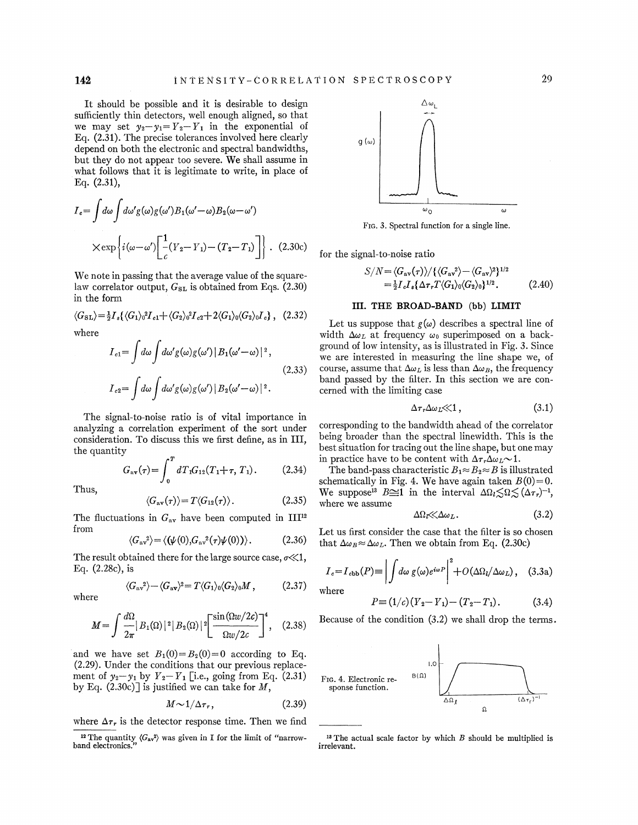It should be possible and it is desirable to design sufficiently thin detectors, well enough aligned, so that we may set  $y_2 - y_1 = Y_2 - Y_1$  in the exponential of Eq. (2.31). The precise tolerances involved here clearly depend on both the electronic and spectral bandwidths, but they do not appear too severe. We shall assume in what follows that it is legitimate to write, in place of Eq. (2.31),

$$
I_c = \int d\omega \int d\omega' g(\omega) g(\omega') B_1(\omega' - \omega) B_2(\omega - \omega')
$$

$$
\times \exp\left\{i(\omega - \omega') \left[ \frac{1}{c} (Y_2 - Y_1) - (T_2 - T_1) \right] \right\}.
$$
 (2.30c)

We note in passing that the average value of the squarelaw correlator output,  $G_{SL}$  is obtained from Eqs. (2.30) in the form

$$
\langle G_{\rm SL}\rangle = \frac{1}{2}I_s \{ \langle G_1 \rangle_0^2 I_{c1} + \langle G_2 \rangle_0^2 I_{c2} + 2 \langle G_1 \rangle_0 \langle G_2 \rangle_0 I_c \}, \quad (2.32)
$$

where

$$
I_{c1} = \int d\omega \int d\omega' g(\omega)g(\omega') |B_1(\omega' - \omega)|^2,
$$
  
\n
$$
I_{c2} = \int d\omega \int d\omega' g(\omega)g(\omega') |B_2(\omega' - \omega)|^2.
$$
\n(2.33)

The signal-to-noise ratio is of vital importance in analyzing a correlation experiment of the sort under consideration. To discuss this we first define, as in III, the quantity

$$
G_{\rm av}(\tau) = \int_0^T dT_1 G_{12}(T_1 + \tau, T_1). \tag{2.34}
$$

Thus,

$$
\langle G_{\rm av}(\tau) \rangle = T \langle G_{12}(\tau) \rangle. \tag{2.35}
$$

The fluctuations in  $G_{av}$  have been computed in III<sup>12</sup> from

$$
\langle G_{\rm av}^2 \rangle = \langle (\psi(0), G_{\rm av}^2(\tau) \psi(0)) \rangle. \tag{2.36}
$$

The result obtained there for the large source case,  $\sigma \ll 1$ , Eq. (2.28c), is

$$
\langle G_{\rm av}^2 \rangle - \langle G_{\rm av} \rangle^2 = T \langle G_1 \rangle_0 \langle G_2 \rangle_0 M , \qquad (2.37)
$$

where

$$
M = \int \frac{d\Omega}{2\pi} |B_1(\Omega)|^2 |B_2(\Omega)|^2 \left[ \frac{\sin(\Omega w/2c)}{\Omega w/2c} \right]^4, \quad (2.38)
$$

and we have set  $B_1(0) = B_2(0) = 0$  according to Eq. (2.29). Under the conditions that our previous replacement of  $y_2-y_1$  by  $Y_2-Y_1$  [i.e., going from Eq. (2.31) by Eq.  $(2.30c)$  is justified we can take for M,

$$
M \sim 1/\Delta \tau_r, \tag{2.39}
$$

where  $\Delta \tau_r$  is the detector response time. Then we find



FIG. 3. Spectral function for a single line.

for the signal-to-noise ratio

$$
S/N = \langle G_{\rm av}(\tau) \rangle / \{ \langle G_{\rm av}^2 \rangle - \langle G_{\rm av} \rangle^2 \}^{1/2}
$$
  
=  $\frac{1}{2} I_c I_s \{ \Delta \tau_r T \langle G_1 \rangle_0 \langle G_2 \rangle_0 \}^{1/2}$ . (2.40)

# **III. THE BROAD-BAND** (bb) **LIMIT**

Let us suppose that  $g(\omega)$  describes a spectral line of width  $\Delta \omega_L$  at frequency  $\omega_0$  superimposed on a background of low intensity, as is illustrated in Fig. 3. Since we are interested in measuring the line shape we, of course, assume that  $\Delta \omega_L$  is less than  $\Delta \omega_B$ , the frequency band passed by the filter. In this section we are concerned with the limiting case

$$
\Delta \tau_r \Delta \omega_L \ll 1, \tag{3.1}
$$

corresponding to the bandwidth ahead of the correlator being broader than the spectral linewidth. This is the best situation for tracing out the line shape, but one may in practice have to be content with  $\Delta \tau_r \Delta \omega_L \sim 1$ .

The band-pass characteristic  $B_1 \approx B_2 \approx B$  is illustrated schematically in Fig. 4. We have again taken  $B(0)=0$ . We suppose<sup>13</sup> B\simum interval  $\Delta \Omega_l \lesssim \Omega \lesssim (\Delta \tau_r)^{-1}$ , where we assume

$$
\Delta\Omega_t \ll \Delta\omega_L. \tag{3.2}
$$

Let us first consider the case that the filter is so chosen that  $\Delta \omega_B \approx \Delta \omega_L$ . Then we obtain from Eq. (2.30c)

$$
I_c = I_{cbb}(P) \equiv \left| \int d\omega \ g(\omega) e^{i\omega P} \right|^2 + O(\Delta\Omega_l/\Delta\omega_L), \quad (3.3a)
$$

where

$$
P = (1/c)(Y_2 - Y_1) - (T_2 - T_1). \tag{3.4}
$$

Because of the condition (3.2) we shall drop the terms.



<sup>&</sup>lt;sup>12</sup> The quantity  $\langle G_{av}^2 \rangle$  was given in I for the limit of "narrow-<br>ind electronics."<br>irrelevant. band electronics.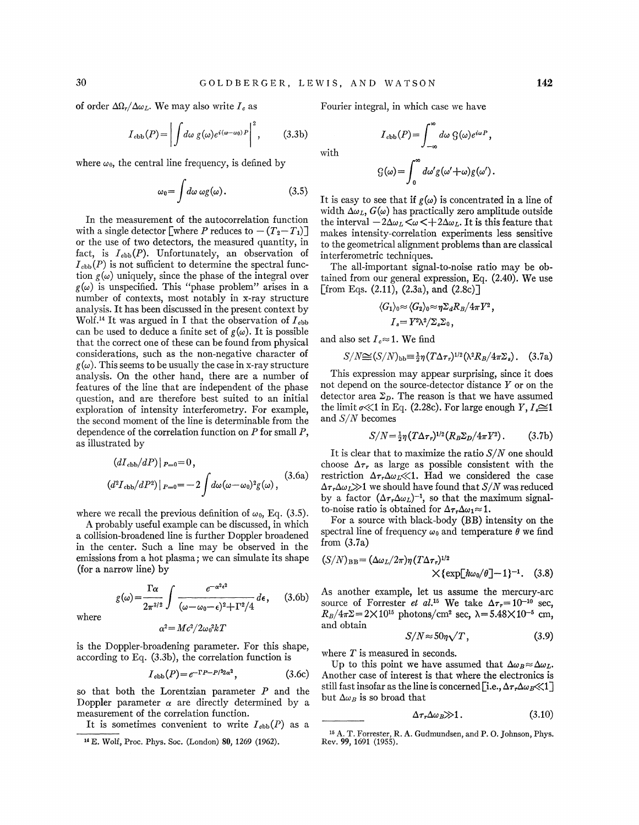of order  $\Delta\Omega_r/\Delta\omega_L$ . We may also write  $I_c$  as

$$
I_{\text{cbb}}(P) = \left| \int d\omega \ g(\omega) e^{i(\omega - \omega_0) P} \right|^2, \qquad (3.3b)
$$

where  $\omega_0$ , the central line frequency, is defined by

$$
\omega_0 = \int d\omega \, \omega g(\omega). \tag{3.5}
$$

In the measurement of the autocorrelation function with a single detector [where P reduces to  $-(T_2-T_1)$ ] or the use of two detectors, the measured quantity, in fact, is  $I_{cbb}(P)$ . Unfortunately, an observation of  $I_{\text{cbb}}(P)$  is not sufficient to determine the spectral function  $g(\omega)$  uniquely, since the phase of the integral over  $g(\omega)$  is unspecified. This "phase problem" arises in a number of contexts, most notably in x-ray structure analysis. It has been discussed in the present context by Wolf.<sup>14</sup> It was argued in I that the observation of  $I_{cbb}$ can be used to deduce a finite set of  $g(\omega)$ . It is possible that the correct one of these can be found from physical considerations, such as the non-negative character of  $g(\omega)$ . This seems to be usually the case in x-ray structure analysis. On the other hand, there are a number of features of the line that are independent of the phase question, and are therefore best suited to an initial exploration of intensity interferometry. For example, the second moment of the line is determinable from the dependence of the correlation function on  $P$  for small  $P$ , as illustrated by

$$
(dI_{\text{cbb}}/dP)|_{P=0} = 0,
$$
  

$$
(d^2I_{\text{cbb}}/dP^2)|_{P=0} = -2 \int d\omega (\omega - \omega_0)^2 g(\omega),
$$
 (3.6a)

where we recall the previous definition of  $\omega_0$ , Eq. (3.5).

A probably useful example can be discussed, in which a collision-broadened line is further Doppler broadened in the center. Such a line may be observed in the emissions from a hot plasma; we can simulate its shape (for a narrow line) by

arrow line) by  
\n
$$
g(\omega) = \frac{\Gamma \alpha}{2\pi^{3/2}} \int \frac{e^{-\alpha^2 \epsilon^2}}{(\omega - \omega_0 - \epsilon)^2 + \Gamma^2/4} d\epsilon, \quad (3.6b)
$$

where

is the Doppler-broadening parameter. For this shape, according to Eq. (3.3b), the correlation function is

 $\alpha^2 = Mc^2/2\omega_0^2 kT$ 

$$
I_{\text{cbb}}(P) = e^{-\Gamma P - P/2\alpha^2},\tag{3.6c}
$$

so that both the Lorentzian parameter  $P$  and the Doppler parameter  $\alpha$  are directly determined by a measurement of the correlation function.

Fourier integral, in which case we have

with

$$
G(\omega) = \int_0^\infty d\omega' g(\omega' + \omega) g(\omega').
$$

 $I_{\text{cbb}}(P) = \int_{-\infty}^{\infty} d\omega \, \mathcal{G}(\omega) e^{i\omega P},$ 

It is easy to see that if  $g(\omega)$  is concentrated in a line of width  $\Delta \omega_L$ ,  $G(\omega)$  has practically zero amplitude outside the interval  $-2\Delta\omega_L<\omega<+2\Delta\omega_L$ . It is this feature that makes intensity-correlation experiments less sensitive to the geometrical alignment problems than are classical interferometric techniques.

The all-important signal-to-noise ratio may be obtained from our general expression, Eq. (2.40). We use [from Eqs.  $(2.11)$ ,  $(2.3a)$ , and  $(2.8c)$ ]

$$
\langle G_1\rangle_0 \approx \langle G_2\rangle_0 \approx \eta \Sigma_d R_B/4\pi Y^2,
$$
  

$$
I_s = Y^2 \lambda^2/\Sigma_s \Sigma_0,
$$

and also set  $I_c \approx 1$ . We find

$$
S/N \cong (S/N)_{\text{bb}} \equiv \frac{1}{2} \eta (T \Delta \tau_r)^{1/2} (\lambda^2 R_B / 4 \pi \Sigma_s).
$$
 (3.7a)

This expression may appear surprising, since it does not depend on the source-detector distance *Y* or on the detector area  $\Sigma_D$ . The reason is that we have assumed the limit  $\sigma \ll 1$  in Eq. (2.28c). For large enough *Y*,  $I_e \cong 1$ and *S/N* becomes

$$
S/N = \frac{1}{2}\eta (T\Delta \tau_r)^{1/2} (R_B \Sigma_D / 4\pi Y^2).
$$
 (3.7b)

It is clear that to maximize the ratio  $S/N$  one should choose  $\Delta \tau_r$  as large as possible consistent with the restriction  $\Delta \tau_r \Delta \omega_L \ll 1$ . Had we considered the case  $\Delta \tau_r \Delta \omega_L \gg 1$  we should have found that  $S/N$  was reduced by a factor  $(\Delta \tau_r \Delta \omega_L)^{-1}$ , so that the maximum signalto-noise ratio is obtained for  $\Delta \tau_r \Delta \omega_1 \approx 1$ .

For a source with black-body (BB) intensity on the spectral line of frequency  $\omega_0$  and temperature  $\theta$  we find from (3.7a)

$$
(S/N)_{\rm BB} = (\Delta \omega_L / 2\pi) \eta (T \Delta \tau_r)^{1/2}
$$
  
 
$$
\times {\exp[\hbar \omega_0 / \theta] - 1}^{-1}. \quad (3.8)
$$

As another example, let us assume the mercury-arc source of Forrester *et al.*<sup>15</sup> We take  $\Delta \tau_r = 10^{-10}$  sec,  $R_B/4\pi\Sigma=2\times10^{15}$  photons/cm<sup>2</sup> sec,  $\lambda=5.48\times10^{-5}$  cm, and obtain

$$
S/N \approx 50\eta \sqrt{T}, \tag{3.9}
$$

where *T* is measured in seconds.

Up to this point we have assumed that  $\Delta \omega_B \approx \Delta \omega_L$ . Another case of interest is that where the electronics is still fast insofar as the line is concerned [i.e.,  $\Delta \tau_r \Delta \omega_B \ll 1$ ] but  $\Delta \omega_B$  is so broad that

$$
\Delta \tau_r \Delta \omega_B \gg 1. \tag{3.10}
$$

16 A. T. Forrester, R. A. Gudmundsen, and P. 0. Johnson, Phys. Rev. 99, 1691 {1955).

It is sometimes convenient to write  $I_{\text{cbb}}(P)$  as a

<sup>14</sup> E. Wolf, Proc. Phys. Soc. {London) 80, 1269 {1962).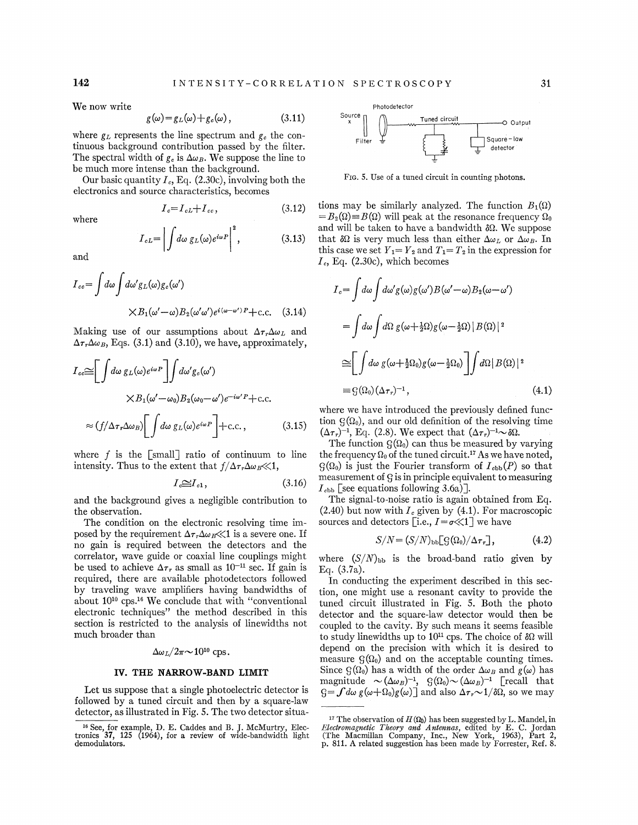We now write

$$
g(\omega) = g_L(\omega) + g_c(\omega), \qquad (3.11)
$$

where  $g_L$  represents the line spectrum and  $g_c$  the continuous background contribution passed by the filter. The spectral width of  $g_e$  is  $\Delta \omega_B$ . We suppose the line to be much more intense than the background.

Our basic quantity  $I_c$ , Eq. (2.30c), involving both the electronics and source characteristics, becomes

$$
I_c = I_{cL} + I_{cc},\tag{3.12}
$$

$$
I_{cL} = \left| \int d\omega \, g_L(\omega) e^{i\omega P} \right|^2, \tag{3.13}
$$

and

where

$$
I_{ce} = \int d\omega \int d\omega' g_L(\omega) g_e(\omega')
$$
  
 
$$
\times B_1(\omega' - \omega) B_2(\omega' \omega') e^{i(\omega - \omega')P} + \text{c.c.} \quad (3.14)
$$

Making use of our assumptions about  $\Delta \tau_r \Delta \omega_L$  and  $\Delta \tau_r \Delta \omega_B$ , Eqs. (3.1) and (3.10), we have, approximately,

$$
I_{ec} \cong \left[ \int d\omega \, g_L(\omega) e^{i\omega P} \right] \int d\omega' g_c(\omega')
$$
  
 
$$
\times B_1(\omega' - \omega_0) B_2(\omega_0 - \omega') e^{-i\omega' P} + \text{c.c.}
$$
  
 
$$
\approx (f/\Delta \tau_r \Delta \omega_B) \left[ \int d\omega \, g_L(\omega) e^{i\omega P} \right] + \text{c.c.}, \qquad (3.15)
$$

where  $f$  is the [small] ratio of continuum to line intensity. Thus to the extent that  $f/\Delta\tau_r\Delta\omega_B\ll 1$ ,

$$
I_c \cong I_{c1}, \tag{3.16}
$$

and the background gives a negligible contribution to the observation.

The condition on the electronic resolving time imposed by the requirement  $\Delta \tau_r \Delta \omega_B \ll 1$  is a severe one. If no gain is required between the detectors and the correlator, wave guide or coaxial line couplings might be used to achieve  $\Delta \tau_r$  as small as 10<sup>-11</sup> sec. If gain is required, there are available photodetectors followed by traveling wave amplifiers having bandwidths of about 1010 cps.16 We conclude that with "conventional electronic techniques" the method described in this section is restricted to the analysis of linewidths not much broader than

### $\Delta \omega_L/2\pi \sim 10^{10}$  cps.

# **IV. THE NARROW-BAND LIMIT**

Let us suppose that a single photoelectric detector is followed by a tuned circuit and then by a square-law detector, as illustrated in Fig. 5. The two detector situa-



FIG. 5. Use of a tuned circuit in counting photons.

tions may be similarly analyzed. The function  $B_1(\Omega)$  $=B_2(\Omega) \equiv B(\Omega)$  will peak at the resonance frequency  $\Omega_0$ and will be taken to have a bandwidth  $\delta\Omega$ . We suppose that  $\delta\Omega$  is very much less than either  $\Delta\omega_L$  or  $\Delta\omega_B$ . In this case we set  $Y_1 = Y_2$  and  $T_1 = T_2$  in the expression for  $I_c$ , Eq. (2.30c), which becomes

$$
I_c = \int d\omega \int d\omega' g(\omega) g(\omega') B(\omega' - \omega) B_2(\omega - \omega')
$$
  
= 
$$
\int d\omega \int d\Omega g(\omega + \frac{1}{2}\Omega) g(\omega - \frac{1}{2}\Omega) |B(\Omega)|^2
$$
  

$$
\approx \left[ \int d\omega g(\omega + \frac{1}{2}\Omega_0) g(\omega - \frac{1}{2}\Omega_0) \right] \int d\Omega |B(\Omega)|^2
$$
  

$$
\approx g(\Omega_0) (\Delta \tau_r)^{-1}, \qquad (4.1)
$$

where we have introduced the previously defined function  $G(\Omega_0)$ , and our old definition of the resolving time  $(\Delta \tau_r)^{-1}$ , Eq. (2.8). We expect that  $(\Delta \tau_r)^{-1} \sim \delta \Omega$ .

The function  $G(\Omega_0)$  can thus be measured by varying the frequency  $\Omega_0$  of the tuned circuit.<sup>17</sup> As we have noted,  $\mathcal{G}(\Omega_0)$  is just the Fourier transform of  $I_{cbb}(P)$  so that measurement of g is in principle equivalent to measuring  $I_{\text{cbb}}$  [see equations following 3.6a)].

The signal-to-noise ratio is again obtained from Eq.  $(2.40)$  but now with  $I_c$  given by  $(4.1)$ . For macroscopic sources and detectors [i.e.,  $I = \sigma \ll 1$ ] we have

$$
S/N = (S/N)_{\rm bb} [G(\Omega_0)/\Delta \tau_r], \qquad (4.2)
$$

where  $(S/N)_{\text{bb}}$  is the broad-band ratio given by Eq. (3.7a).

In conducting the experiment described in this section, one might use a resonant cavity to provide the tuned circuit illustrated in Fig. 5. Both the photo detector and the square-law detector would then be coupled to the cavity. By such means it seems feasible to study linewidths up to  $10^{11}$  cps. The choice of  $\delta\Omega$  will depend on the precision with which it is desired to measure  $G(\Omega_0)$  and on the acceptable counting times. Since  $G(\Omega_0)$  has a width of the order  $\Delta \omega_B$  and  $g(\omega)$  has magnitude  $\sim (\Delta \omega_B)^{-1}$ ,  $\mathcal{G}(\Omega_0) \sim (\Delta \omega_B)^{-1}$  [recall that  $S=f d\omega g(\omega+\Omega_0)g(\omega)$  and also  $\Delta \tau$ ,  $\sim 1/\delta\Omega$ , so we may

<sup>16</sup> See, for example, D. E. Caddes and B. J. McMurtry, Elec-tronics 37, 125 (1964), for a review of wide-bandwidth light demodulators.

<sup>&</sup>lt;sup>17</sup> The observation of  $H(\Omega_0)$  has been suggested by L. Mandel, in *Electromagnetic Theory and Antennas,* edited by E. C. Jordan (The Macmillan Company, Inc., New York, 1963), Part 2, p. 811. A related suggestion has been made by Forrester, Ref. 8.